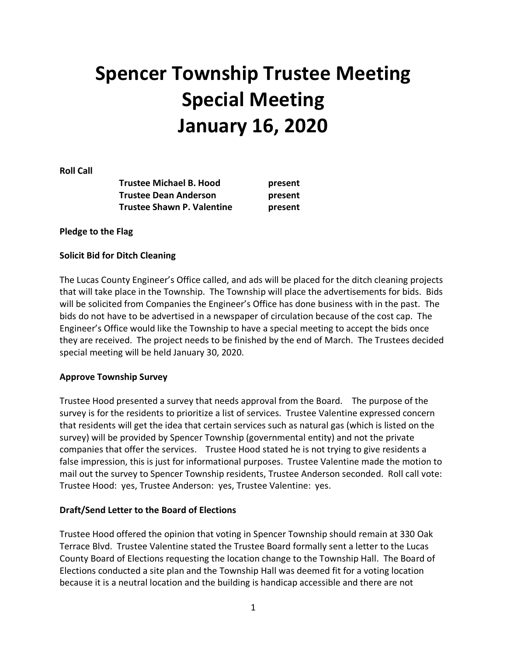# **Spencer Township Trustee Meeting Special Meeting January 16, 2020**

**Roll Call** 

| <b>Trustee Michael B. Hood</b> | present |
|--------------------------------|---------|
| <b>Trustee Dean Anderson</b>   | present |
| Trustee Shawn P. Valentine     | present |

**Pledge to the Flag** 

#### **Solicit Bid for Ditch Cleaning**

The Lucas County Engineer's Office called, and ads will be placed for the ditch cleaning projects that will take place in the Township. The Township will place the advertisements for bids. Bids will be solicited from Companies the Engineer's Office has done business with in the past. The bids do not have to be advertised in a newspaper of circulation because of the cost cap. The Engineer's Office would like the Township to have a special meeting to accept the bids once they are received. The project needs to be finished by the end of March. The Trustees decided special meeting will be held January 30, 2020.

## **Approve Township Survey**

Trustee Hood presented a survey that needs approval from the Board. The purpose of the survey is for the residents to prioritize a list of services. Trustee Valentine expressed concern that residents will get the idea that certain services such as natural gas (which is listed on the survey) will be provided by Spencer Township (governmental entity) and not the private companies that offer the services. Trustee Hood stated he is not trying to give residents a false impression, this is just for informational purposes. Trustee Valentine made the motion to mail out the survey to Spencer Township residents, Trustee Anderson seconded. Roll call vote: Trustee Hood: yes, Trustee Anderson: yes, Trustee Valentine: yes.

#### **Draft/Send Letter to the Board of Elections**

Trustee Hood offered the opinion that voting in Spencer Township should remain at 330 Oak Terrace Blvd. Trustee Valentine stated the Trustee Board formally sent a letter to the Lucas County Board of Elections requesting the location change to the Township Hall. The Board of Elections conducted a site plan and the Township Hall was deemed fit for a voting location because it is a neutral location and the building is handicap accessible and there are not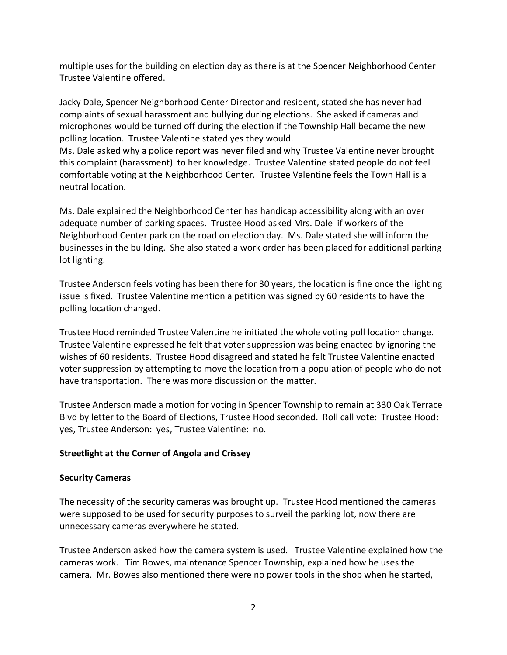multiple uses for the building on election day as there is at the Spencer Neighborhood Center Trustee Valentine offered.

Jacky Dale, Spencer Neighborhood Center Director and resident, stated she has never had complaints of sexual harassment and bullying during elections. She asked if cameras and microphones would be turned off during the election if the Township Hall became the new polling location. Trustee Valentine stated yes they would.

Ms. Dale asked why a police report was never filed and why Trustee Valentine never brought this complaint (harassment) to her knowledge. Trustee Valentine stated people do not feel comfortable voting at the Neighborhood Center. Trustee Valentine feels the Town Hall is a neutral location.

Ms. Dale explained the Neighborhood Center has handicap accessibility along with an over adequate number of parking spaces. Trustee Hood asked Mrs. Dale if workers of the Neighborhood Center park on the road on election day. Ms. Dale stated she will inform the businesses in the building. She also stated a work order has been placed for additional parking lot lighting.

Trustee Anderson feels voting has been there for 30 years, the location is fine once the lighting issue is fixed. Trustee Valentine mention a petition was signed by 60 residents to have the polling location changed.

Trustee Hood reminded Trustee Valentine he initiated the whole voting poll location change. Trustee Valentine expressed he felt that voter suppression was being enacted by ignoring the wishes of 60 residents. Trustee Hood disagreed and stated he felt Trustee Valentine enacted voter suppression by attempting to move the location from a population of people who do not have transportation. There was more discussion on the matter.

Trustee Anderson made a motion for voting in Spencer Township to remain at 330 Oak Terrace Blvd by letter to the Board of Elections, Trustee Hood seconded. Roll call vote: Trustee Hood: yes, Trustee Anderson: yes, Trustee Valentine: no.

## **Streetlight at the Corner of Angola and Crissey**

## **Security Cameras**

The necessity of the security cameras was brought up. Trustee Hood mentioned the cameras were supposed to be used for security purposes to surveil the parking lot, now there are unnecessary cameras everywhere he stated.

Trustee Anderson asked how the camera system is used. Trustee Valentine explained how the cameras work. Tim Bowes, maintenance Spencer Township, explained how he uses the camera. Mr. Bowes also mentioned there were no power tools in the shop when he started,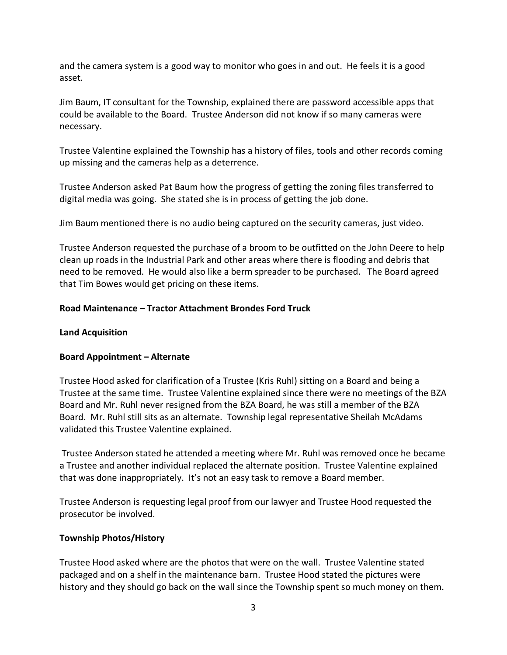and the camera system is a good way to monitor who goes in and out. He feels it is a good asset.

Jim Baum, IT consultant for the Township, explained there are password accessible apps that could be available to the Board. Trustee Anderson did not know if so many cameras were necessary.

Trustee Valentine explained the Township has a history of files, tools and other records coming up missing and the cameras help as a deterrence.

Trustee Anderson asked Pat Baum how the progress of getting the zoning files transferred to digital media was going. She stated she is in process of getting the job done.

Jim Baum mentioned there is no audio being captured on the security cameras, just video.

Trustee Anderson requested the purchase of a broom to be outfitted on the John Deere to help clean up roads in the Industrial Park and other areas where there is flooding and debris that need to be removed. He would also like a berm spreader to be purchased. The Board agreed that Tim Bowes would get pricing on these items.

#### **Road Maintenance – Tractor Attachment Brondes Ford Truck**

#### **Land Acquisition**

#### **Board Appointment – Alternate**

Trustee Hood asked for clarification of a Trustee (Kris Ruhl) sitting on a Board and being a Trustee at the same time. Trustee Valentine explained since there were no meetings of the BZA Board and Mr. Ruhl never resigned from the BZA Board, he was still a member of the BZA Board. Mr. Ruhl still sits as an alternate. Township legal representative Sheilah McAdams validated this Trustee Valentine explained.

 Trustee Anderson stated he attended a meeting where Mr. Ruhl was removed once he became a Trustee and another individual replaced the alternate position. Trustee Valentine explained that was done inappropriately. It's not an easy task to remove a Board member.

Trustee Anderson is requesting legal proof from our lawyer and Trustee Hood requested the prosecutor be involved.

#### **Township Photos/History**

Trustee Hood asked where are the photos that were on the wall. Trustee Valentine stated packaged and on a shelf in the maintenance barn. Trustee Hood stated the pictures were history and they should go back on the wall since the Township spent so much money on them.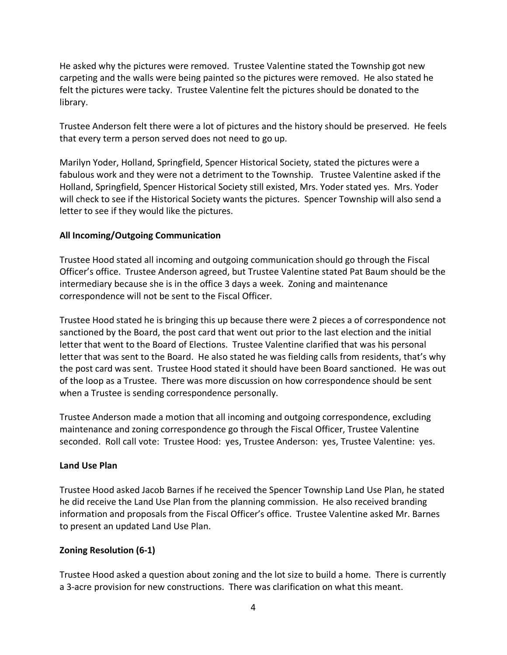He asked why the pictures were removed. Trustee Valentine stated the Township got new carpeting and the walls were being painted so the pictures were removed. He also stated he felt the pictures were tacky. Trustee Valentine felt the pictures should be donated to the library.

Trustee Anderson felt there were a lot of pictures and the history should be preserved. He feels that every term a person served does not need to go up.

Marilyn Yoder, Holland, Springfield, Spencer Historical Society, stated the pictures were a fabulous work and they were not a detriment to the Township. Trustee Valentine asked if the Holland, Springfield, Spencer Historical Society still existed, Mrs. Yoder stated yes. Mrs. Yoder will check to see if the Historical Society wants the pictures. Spencer Township will also send a letter to see if they would like the pictures.

## **All Incoming/Outgoing Communication**

Trustee Hood stated all incoming and outgoing communication should go through the Fiscal Officer's office. Trustee Anderson agreed, but Trustee Valentine stated Pat Baum should be the intermediary because she is in the office 3 days a week. Zoning and maintenance correspondence will not be sent to the Fiscal Officer.

Trustee Hood stated he is bringing this up because there were 2 pieces a of correspondence not sanctioned by the Board, the post card that went out prior to the last election and the initial letter that went to the Board of Elections. Trustee Valentine clarified that was his personal letter that was sent to the Board. He also stated he was fielding calls from residents, that's why the post card was sent. Trustee Hood stated it should have been Board sanctioned. He was out of the loop as a Trustee. There was more discussion on how correspondence should be sent when a Trustee is sending correspondence personally.

Trustee Anderson made a motion that all incoming and outgoing correspondence, excluding maintenance and zoning correspondence go through the Fiscal Officer, Trustee Valentine seconded. Roll call vote: Trustee Hood: yes, Trustee Anderson: yes, Trustee Valentine: yes.

## **Land Use Plan**

Trustee Hood asked Jacob Barnes if he received the Spencer Township Land Use Plan, he stated he did receive the Land Use Plan from the planning commission. He also received branding information and proposals from the Fiscal Officer's office. Trustee Valentine asked Mr. Barnes to present an updated Land Use Plan.

## **Zoning Resolution (6-1)**

Trustee Hood asked a question about zoning and the lot size to build a home. There is currently a 3-acre provision for new constructions. There was clarification on what this meant.